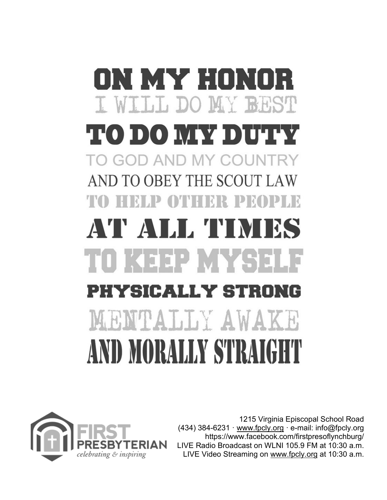# ON MY HON I. WILLIE DO MY BRST **ТО DO MAY DUTIY** TO GOD AND MY COUNTRY AND TO OBEY THE SCOUT LAW TO HELP OTHER PROPLE P ALL TIN TOKEEPMYSE PHYSICALLY STRON MENTALLY AWAKE AND MORALLY STRAIGH



1215 Virginia Episcopal School Road (434) 384-6231 · www.fpcly.org · e-mail: info@fpcly.org https://www.facebook.com/firstpresoflynchburg/ LIVE Radio Broadcast on WLNI 105.9 FM at 10:30 a.m. LIVE Video Streaming on [www.fpcly.org](http://www.fpcly.org/) at 10:30 a.m.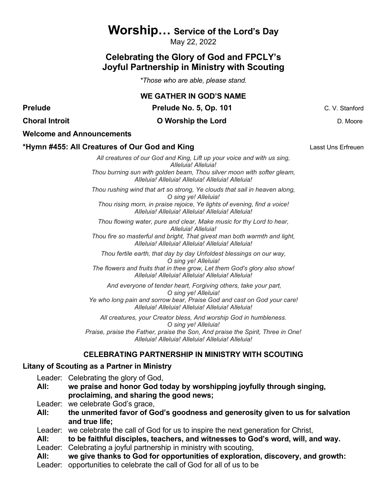## **Worship… Service of the Lord's Day**

May 22, 2022

## **Celebrating the Glory of God and FPCLY's Joyful Partnership in Ministry with Scouting**

*\*Those who are able, please stand.* 

|                                               | <b>WE GATHER IN GOD'S NAME</b>                                                                                                                             |                |  |
|-----------------------------------------------|------------------------------------------------------------------------------------------------------------------------------------------------------------|----------------|--|
| <b>Prelude</b>                                | Prelude No. 5, Op. 101                                                                                                                                     | C. V. Stanford |  |
| <b>Choral Introit</b>                         | <b>O</b> Worship the Lord                                                                                                                                  | D. Moore       |  |
|                                               | <b>Welcome and Announcements</b>                                                                                                                           |                |  |
| *Hymn #455: All Creatures of Our God and King | Lasst Uns Erfreuen                                                                                                                                         |                |  |
|                                               | All creatures of our God and King, Lift up your voice and with us sing,<br>Alleluia! Alleluia!                                                             |                |  |
|                                               | Thou burning sun with golden beam, Thou silver moon with softer gleam,<br>Alleluia! Alleluia! Alleluia! Alleluia! Alleluia!                                |                |  |
|                                               | Thou rushing wind that art so strong, Ye clouds that sail in heaven along,<br>O sing ye! Alleluia!                                                         |                |  |
|                                               | Thou rising morn, in praise rejoice, Ye lights of evening, find a voice!<br>Alleluia! Alleluia! Alleluia! Alleluia! Alleluia!                              |                |  |
|                                               | Thou flowing water, pure and clear, Make music for thy Lord to hear,<br>Alleluia! Alleluia!                                                                |                |  |
|                                               | Thou fire so masterful and bright, That givest man both warmth and light,<br>Alleluia! Alleluia! Alleluia! Alleluia! Alleluia!                             |                |  |
|                                               | Thou fertile earth, that day by day Unfoldest blessings on our way,<br>O sing ye! Alleluia!                                                                |                |  |
|                                               | The flowers and fruits that in thee grow, Let them God's glory also show!<br>Alleluia! Alleluia! Alleluia! Alleluia! Alleluia!                             |                |  |
|                                               | And everyone of tender heart, Forgiving others, take your part,<br>O sing ye! Alleluia!                                                                    |                |  |
|                                               | Ye who long pain and sorrow bear, Praise God and cast on God your care!<br>Alleluia! Alleluia! Alleluia! Alleluia! Alleluia!                               |                |  |
|                                               | All creatures, your Creator bless, And worship God in humbleness.<br>O sing ye! Alleluia!                                                                  |                |  |
|                                               | Praise, praise the Father, praise the Son, And praise the Spirit, Three in One!<br>Alleluia! Alleluia! Alleluia! Alleluia! Alleluia!                       |                |  |
|                                               | <b>CELEBRATING PARTNERSHIP IN MINISTRY WITH SCOUTING</b>                                                                                                   |                |  |
|                                               | Litany of Scouting as a Partner in Ministry                                                                                                                |                |  |
| All:                                          | Leader: Celebrating the glory of God,<br>we praise and honor God today by worshipping joyfully through singing,<br>proclaiming, and sharing the good news; |                |  |

- Leader: we celebrate God's grace,
- **All: the unmerited favor of God's goodness and generosity given to us for salvation and true life;**

Leader: we celebrate the call of God for us to inspire the next generation for Christ,

**All: to be faithful disciples, teachers, and witnesses to God's word, will, and way.**

Leader: Celebrating a joyful partnership in ministry with scouting,

- **All: we give thanks to God for opportunities of exploration, discovery, and growth:**
- Leader: opportunities to celebrate the call of God for all of us to be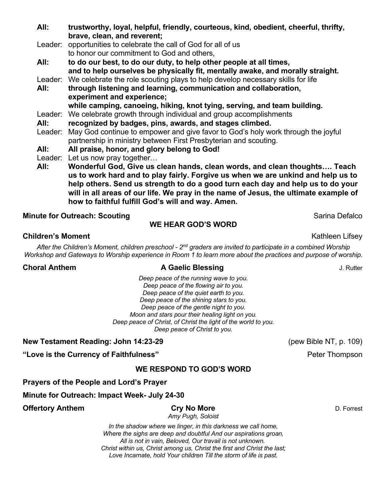| All:    | trustworthy, loyal, helpful, friendly, courteous, kind, obedient, cheerful, thrifty, |  |  |  |  |
|---------|--------------------------------------------------------------------------------------|--|--|--|--|
|         | brave, clean, and reverent;                                                          |  |  |  |  |
| Leader: | opportunities to celebrate the call of God for all of us                             |  |  |  |  |
|         | to honor our commitment to God and others,                                           |  |  |  |  |
| All:    | to do our best, to do our duty, to help other people at all times,                   |  |  |  |  |
|         | and to help ourselves be physically fit, mentally awake, and morally straight.       |  |  |  |  |
| Leader: | We celebrate the role scouting plays to help develop necessary skills for life       |  |  |  |  |
| All:    | through listening and learning, communication and collaboration,                     |  |  |  |  |
|         | experiment and experience;                                                           |  |  |  |  |
|         | while camping, canoeing, hiking, knot tying, serving, and team building.             |  |  |  |  |
| Leader: | We celebrate growth through individual and group accomplishments                     |  |  |  |  |
| All:    | recognized by badges, pins, awards, and stages climbed.                              |  |  |  |  |
| Leader: | May God continue to empower and give favor to God's holy work through the joyful     |  |  |  |  |
|         | partnership in ministry between First Presbyterian and scouting.                     |  |  |  |  |
| All:    | All praise, honor, and glory belong to God!                                          |  |  |  |  |
| Leader: | Let us now pray together                                                             |  |  |  |  |
| All:    | Wonderful God, Give us clean hands, clean words, and clean thoughts Teach            |  |  |  |  |
|         | us to work hard and to play fairly. Forgive us when we are unkind and help us to     |  |  |  |  |
|         | help others. Send us strength to do a good turn each day and help us to do your      |  |  |  |  |
|         | will in all areas of our life. We pray in the name of Jesus, the ultimate example of |  |  |  |  |

#### **Minute for Outreach: Scouting and Sarina Defalco Sarina Defalco** Sarina Defalco

#### **WE HEAR GOD'S WORD**

**how to faithful fulfill God's will and way. Amen.** 

#### **Children's Moment Children's Moment Children** Lifsey

*After the Children's Moment, children preschool - 2nd graders are invited to participate in a combined Worship Workshop and Gateways to Worship experience in Room 1 to learn more about the practices and purpose of worship.*

#### **Choral Anthem A Gaelic Blessing Choral Anthem J. Rutter**

*Deep peace of the running wave to you. Deep peace of the flowing air to you. Deep peace of the quiet earth to you. Deep peace of the shining stars to you. Deep peace of the gentle night to you. Moon and stars pour their healing light on you. Deep peace of Christ, of Christ the light of the world to you. Deep peace of Christ to you.*

**New Testament Reading: John 14:23-29** (pew Bible NT, p. 109)

**"Love is the Currency of Faithfulness"** And Alleman and Alleman Peter Thompson

#### **WE RESPOND TO GOD'S WORD**

**Prayers of the People and Lord's Prayer**

**Minute for Outreach: Impact Week- July 24-30**

#### **Offertory Anthem Cry No More Cry No More D. Forrest**

*Amy Pugh, Soloist*

*In the shadow where we linger, in this darkness we call home, Where the sighs are deep and doubtful And our aspirations groan, All is not in vain, Beloved, Our travail is not unknown. Christ within us, Christ among us, Christ the first and Christ the last; Love Incarnate, hold Your children Till the storm of life is past.*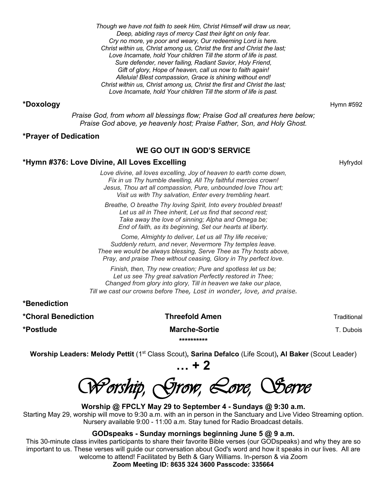*Though we have not faith to seek Him, Christ Himself will draw us near, Deep, abiding rays of mercy Cast their light on only fear. Cry no more, ye poor and weary, Our redeeming Lord is here. Christ within us, Christ among us, Christ the first and Christ the last; Love Incarnate, hold Your children Till the storm of life is past. Sure defender, never failing, Radiant Savior, Holy Friend, Gift of glory, Hope of heaven, call us now to faith again! Alleluia! Blest compassion, Grace is shining without end! Christ within us, Christ among us, Christ the first and Christ the last; Love Incarnate, hold Your children Till the storm of life is past.*

#### **\*Doxology** Hymn #592

*Praise God, from whom all blessings flow; Praise God all creatures here below; Praise God above, ye heavenly host; Praise Father, Son, and Holy Ghost.*

#### **\*Prayer of Dedication**

#### **WE GO OUT IN GOD'S SERVICE**

#### **\*Hymn #376: Love Divine, All Loves Excelling** Number 2012 1994 1995 Hyfrydol

*Love divine, all loves excelling, Joy of heaven to earth come down, Fix in us Thy humble dwelling, All Thy faithful mercies crown! Jesus, Thou art all compassion, Pure, unbounded love Thou art; Visit us with Thy salvation, Enter every trembling heart.*

*Breathe, O breathe Thy loving Spirit, Into every troubled breast! Let us all in Thee inherit, Let us find that second rest; Take away the love of sinning; Alpha and Omega be; End of faith, as its beginning, Set our hearts at liberty.*

*Come, Almighty to deliver, Let us all Thy life receive; Suddenly return, and never, Nevermore Thy temples leave. Thee we would be always blessing, Serve Thee as Thy hosts above, Pray, and praise Thee without ceasing, Glory in Thy perfect love.*

*Finish, then, Thy new creation; Pure and spotless let us be; Let us see Thy great salvation Perfectly restored in Thee; Changed from glory into glory, Till in heaven we take our place, Till we cast our crowns before Thee, Lost in wonder, love, and praise.*

**\*Benediction**

**\*Choral Benediction Threefold Amen** Traditional

**\*Postlude Transformation of the Marche-Sortie Transformation of the Marche-Sortie Transformation of the Marche-\*\*\*\*\*\*\*\*\*\***

**Worship Leaders: Melody Pettit** (1st Class Scout)**, Sarina Defalco** (Life Scout)**, Al Baker** (Scout Leader)

Worship, Grow, Love, Serve

**… + 2**

**Worship @ FPCLY May 29 to September 4 - Sundays @ 9:30 a.m.** Starting May 29, worship will move to 9:30 a.m. with an in person in the Sanctuary and Live Video Streaming option. Nursery available 9:00 - 11:00 a.m. Stay tuned for Radio Broadcast details.

#### **GODspeaks - Sunday mornings beginning June 5 @ 9 a.m.**

This 30-minute class invites participants to share their favorite Bible verses (our GODspeaks) and why they are so important to us. These verses will guide our conversation about God's word and how it speaks in our lives. All are welcome to attend! Facilitated by Beth & Gary Williams. In-person & via Zoom

**Zoom Meeting ID: 8635 324 3600 Passcode: 335664**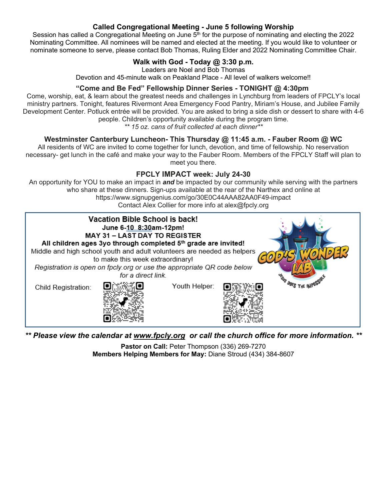#### **Called Congregational Meeting - June 5 following Worship**

Session has called a Congregational Meeting on June  $5<sup>th</sup>$  for the purpose of nominating and electing the 2022 Nominating Committee. All nominees will be named and elected at the meeting. If you would like to volunteer or nominate someone to serve, please contact Bob Thomas, Ruling Elder and 2022 Nominating Committee Chair.

## **Walk with God - Today @ 3:30 p.m.**

Leaders are Noel and Bob Thomas

Devotion and 45-minute walk on Peakland Place - All level of walkers welcome!!

#### **"Come and Be Fed" Fellowship Dinner Series - TONIGHT @ 4:30pm**

Come, worship, eat, & learn about the greatest needs and challenges in Lynchburg from leaders of FPCLY's local ministry partners. Tonight, features Rivermont Area Emergency Food Pantry, Miriam's House, and Jubilee Family Development Center. Potluck entrée will be provided. You are asked to bring a side dish or dessert to share with 4-6 people. Children's opportunity available during the program time.

*\*\* 15 oz. cans of fruit collected at each dinner\*\**

#### **Westminster Canterbury Luncheon- This Thursday @ 11:45 a.m. - Fauber Room @ WC**

All residents of WC are invited to come together for lunch, devotion, and time of fellowship. No reservation necessary- get lunch in the café and make your way to the Fauber Room. Members of the FPCLY Staff will plan to meet you there.

### **FPCLY IMPACT week: July 24-30**

An opportunity for YOU to make an impact in *and* be impacted by our community while serving with the partners who share at these dinners. Sign-ups available at the rear of the Narthex and online at https://www.signupgenius.com/go/30E0C44AAA82AA0F49-impact Contact Alex Collier for more info at alex@fpcly.org



*\*\* Please view the calendar at [www.fpcly.org](http://www.fpcly.org/) or call the church office for more information. \*\**

**Pastor on Call:** Peter Thompson (336) 269-7270 **Members Helping Members for May:** Diane Stroud (434) 384-8607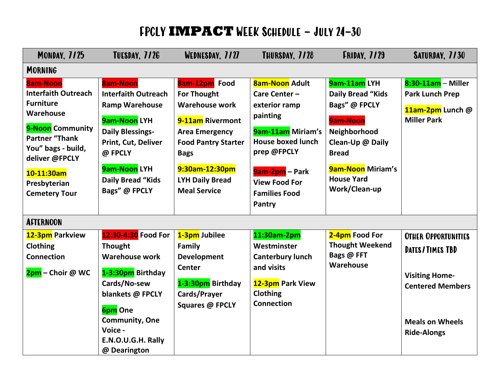# FPCLY **IMPACT** WEEK Schedule – July 24-30

| <b>MONDAY, 7/25</b>                                                                                                                                                                                                       | <b>TUESDAY, 7/26</b>                                                                                                                                                                                      | WEDNESDAY, 7/27                                                                                                                                                                                                           | THURSDAY, 7/28                                                                                                                                                                                              | <b>FRIDAY, 7/29</b>                                                                                                                                                                                | SATURDAY, 7/30                                                                                                              |
|---------------------------------------------------------------------------------------------------------------------------------------------------------------------------------------------------------------------------|-----------------------------------------------------------------------------------------------------------------------------------------------------------------------------------------------------------|---------------------------------------------------------------------------------------------------------------------------------------------------------------------------------------------------------------------------|-------------------------------------------------------------------------------------------------------------------------------------------------------------------------------------------------------------|----------------------------------------------------------------------------------------------------------------------------------------------------------------------------------------------------|-----------------------------------------------------------------------------------------------------------------------------|
| <b>MORNING</b>                                                                                                                                                                                                            |                                                                                                                                                                                                           |                                                                                                                                                                                                                           |                                                                                                                                                                                                             |                                                                                                                                                                                                    |                                                                                                                             |
| <b>8am-Noon</b><br><b>Interfaith Outreach</b><br><b>Furniture</b><br>Warehouse<br>9-Noon Community<br><b>Partner "Thank</b><br>You" bags - build,<br>deliver @FPCLY<br>10-11:30am<br>Presbyterian<br><b>Cemetery Tour</b> | <b>8am-Noon</b><br><b>Interfaith Outreach</b><br><b>Ramp Warehouse</b><br>9am-Noon LYH<br><b>Daily Blessings-</b><br>Print, Cut, Deliver<br>@ FPCLY<br>9am-Noon LYH<br>Daily Bread "Kids<br>Bags" @ FPCLY | 8am-12pm Food<br><b>For Thought</b><br><b>Warehouse work</b><br>9-11am Rivermont<br><b>Area Emergency</b><br><b>Food Pantry Starter</b><br><b>Bags</b><br>9:30am-12:30pm<br><b>LYH Daily Bread</b><br><b>Meal Service</b> | <b>8am-Noon Adult</b><br>Care Center-<br>exterior ramp<br>painting<br>9am-11am Miriam's<br><b>House boxed lunch</b><br>prep @FPCLY<br><b>9am-2pm</b> – Park<br><b>View Food For</b><br><b>Families Food</b> | 9am-11am LYH<br><b>Daily Bread "Kids</b><br>Bags" @ FPCLY<br><b>9am-Noon</b><br>Neighborhood<br>Clean-Up @ Daily<br><b>Bread</b><br><b>9am-Noon Miriam's</b><br><b>House Yard</b><br>Work/Clean-up | $8:30-11$ am - Miller<br><b>Park Lunch Prep</b><br>11am-2pm Lunch @<br><b>Miller Park</b>                                   |
| <b>AFTERNOON</b>                                                                                                                                                                                                          |                                                                                                                                                                                                           |                                                                                                                                                                                                                           | Pantry                                                                                                                                                                                                      |                                                                                                                                                                                                    |                                                                                                                             |
| 12-3pm Parkview<br><b>Clothing</b><br><b>Connection</b><br>2pm – Choir @ WC                                                                                                                                               | 12:30-4:30 Food For<br><b>Thought</b><br><b>Warehouse work</b><br>1-3:30pm Birthday<br>Cards/No-sew<br>blankets @ FPCLY<br><b>6pm</b> One<br><b>Community, One</b><br>Voice -                             | 1-3pm Jubilee<br>Family<br><b>Development</b><br>Center<br>1-3:30pm Birthday<br>Cards/Prayer<br>Squares @ FPCLY                                                                                                           | 11:30am-2pm<br>Westminster<br><b>Canterbury lunch</b><br>and visits<br>12-3pm Park View<br><b>Clothing</b><br><b>Connection</b>                                                                             | 2-4pm Food For<br><b>Thought Weekend</b><br>Bags @ FFT<br>Warehouse                                                                                                                                | <b>OTHER OPPORTUNITIES</b><br>DATES/TIMES TBD<br><b>Visiting Home-</b><br><b>Centered Members</b><br><b>Meals on Wheels</b> |
|                                                                                                                                                                                                                           | E.N.O.U.G.H. Rally<br>@ Dearington                                                                                                                                                                        |                                                                                                                                                                                                                           |                                                                                                                                                                                                             |                                                                                                                                                                                                    | <b>Ride-Alongs</b>                                                                                                          |